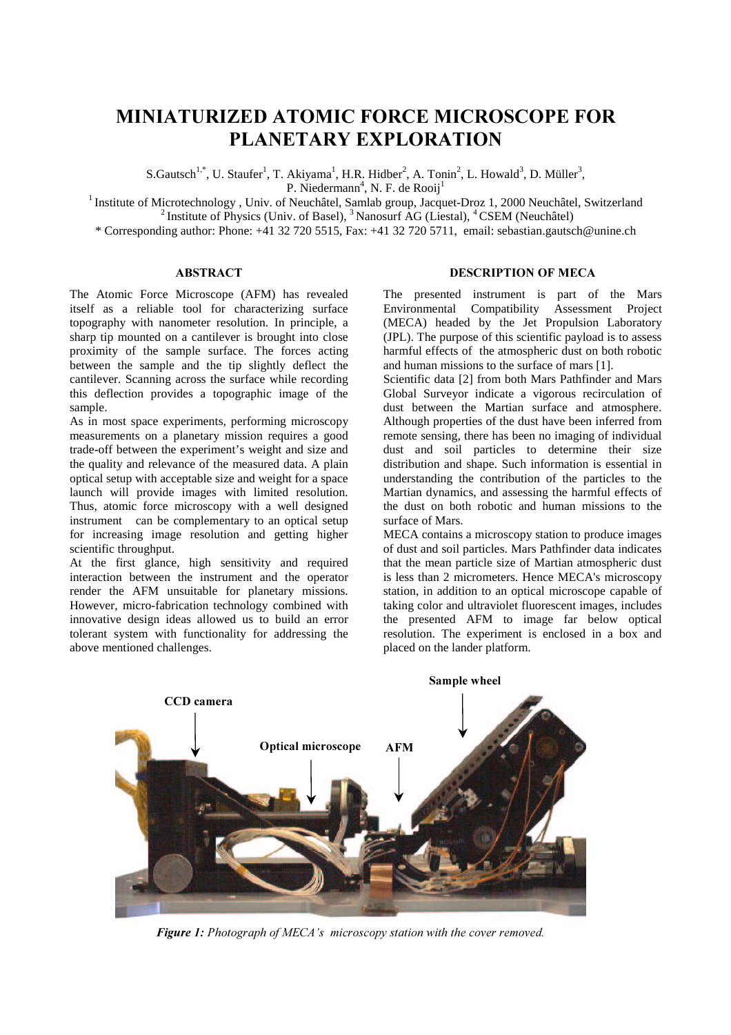# MINIATURIZED ATOMIC FORCE MICROSCOPE FOR PLANETARY EXPLORATION

S.Gautsch<sup>1,\*</sup>, U. Staufer<sup>1</sup>, T. Akiyama<sup>1</sup>, H.R. Hidber<sup>2</sup>, A. Tonin<sup>2</sup>, L. Howald<sup>3</sup>, D. Müller<sup>3</sup>,

P. Niedermann<sup>4</sup>, N. F. de Rooij<sup>1</sup>

<sup>1</sup> Institute of Microtechnology, Univ. of Neuchâtel, Samlab group, Jacquet-Droz 1, 2000 Neuchâtel, Switzerland <sup>2</sup> Institute of Physics (Univ. of Basel), <sup>3</sup> Nanosurf AG (Liestal), <sup>4</sup> CSEM (Neuchâtel)

\* Corresponding author: Phone: +41 32 720 5515, Fax: +41 32 720 5711, email: sebastian.gautsch@unine.ch

## **ABSTRACT**

The Atomic Force Microscope (AFM) has revealed itself as a reliable tool for characterizing surface topography with nanometer resolution. In principle, a sharp tip mounted on a cantilever is brought into close proximity of the sample surface. The forces acting between the sample and the tip slightly deflect the cantilever. Scanning across the surface while recording this deflection provides a topographic image of the sample.

As in most space experiments, performing microscopy measurements on a planetary mission requires a good trade-off between the experiment's weight and size and the quality and relevance of the measured data. A plain optical setup with acceptable size and weight for a space launch will provide images with limited resolution. Thus, atomic force microscopy with a well designed instrument can be complementary to an optical setup for increasing image resolution and getting higher scientific throughput.

At the first glance, high sensitivity and required interaction between the instrument and the operator render the AFM unsuitable for planetary missions. However, micro-fabrication technology combined with innovative design ideas allowed us to build an error tolerant system with functionality for addressing the above mentioned challenges.

## DESCRIPTION OF MECA

The presented instrument is part of the Mars Environmental Compatibility Assessment Project (MECA) headed by the Jet Propulsion Laboratory (JPL). The purpose of this scientific payload is to assess harmful effects of the atmospheric dust on both robotic and human missions to the surface of mars [1].

Scientific data [2] from both Mars Pathfinder and Mars Global Surveyor indicate a vigorous recirculation of dust between the Martian surface and atmosphere. Although properties of the dust have been inferred from remote sensing, there has been no imaging of individual dust and soil particles to determine their size distribution and shape. Such information is essential in understanding the contribution of the particles to the Martian dynamics, and assessing the harmful effects of the dust on both robotic and human missions to the surface of Mars.

MECA contains a microscopy station to produce images of dust and soil particles. Mars Pathfinder data indicates that the mean particle size of Martian atmospheric dust is less than 2 micrometers. Hence MECA's microscopy station, in addition to an optical microscope capable of taking color and ultraviolet fluorescent images, includes the presented AFM to image far below optical resolution. The experiment is enclosed in a box and placed on the lander platform.



*Figure 1: Photograph of MECA's microscopy station with the cover removed.*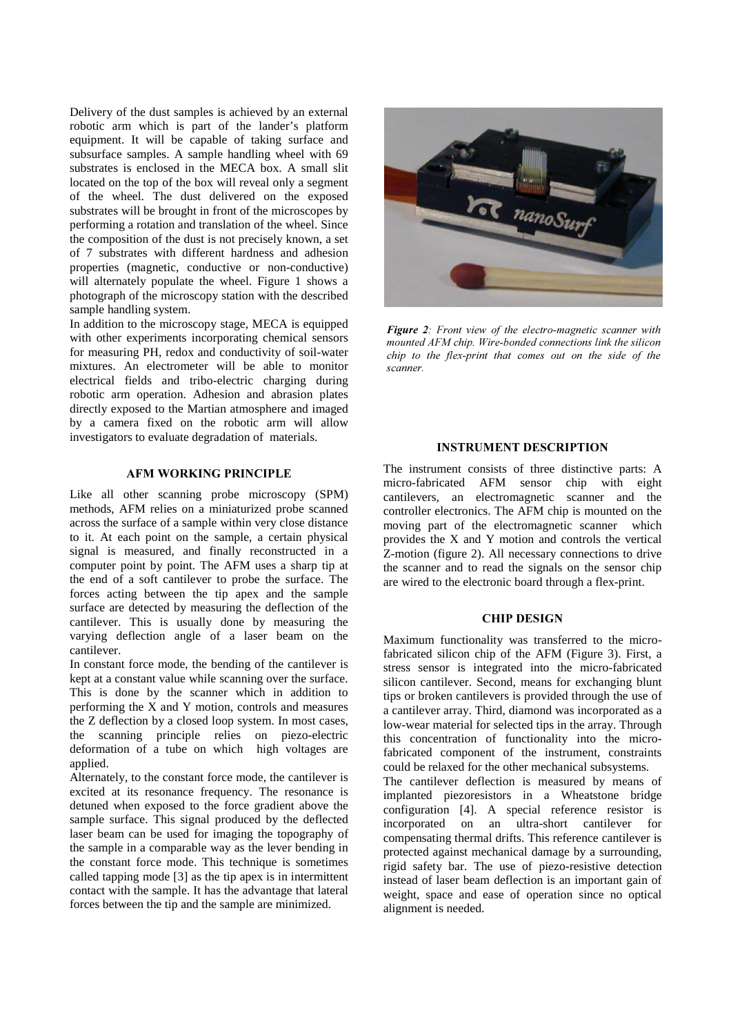Delivery of the dust samples is achieved by an external robotic arm which is part of the lander's platform equipment. It will be capable of taking surface and subsurface samples. A sample handling wheel with 69 substrates is enclosed in the MECA box. A small slit located on the top of the box will reveal only a segment of the wheel. The dust delivered on the exposed substrates will be brought in front of the microscopes by performing a rotation and translation of the wheel. Since the composition of the dust is not precisely known, a set of 7 substrates with different hardness and adhesion properties (magnetic, conductive or non-conductive) will alternately populate the wheel. Figure 1 shows a photograph of the microscopy station with the described sample handling system.

In addition to the microscopy stage, MECA is equipped with other experiments incorporating chemical sensors for measuring PH, redox and conductivity of soil-water mixtures. An electrometer will be able to monitor electrical fields and tribo-electric charging during robotic arm operation. Adhesion and abrasion plates directly exposed to the Martian atmosphere and imaged by a camera fixed on the robotic arm will allow investigators to evaluate degradation of materials.

## AFM WORKING PRINCIPLE

Like all other scanning probe microscopy (SPM) methods, AFM relies on a miniaturized probe scanned across the surface of a sample within very close distance to it. At each point on the sample, a certain physical signal is measured, and finally reconstructed in a computer point by point. The AFM uses a sharp tip at the end of a soft cantilever to probe the surface. The forces acting between the tip apex and the sample surface are detected by measuring the deflection of the cantilever. This is usually done by measuring the varying deflection angle of a laser beam on the cantilever.

In constant force mode, the bending of the cantilever is kept at a constant value while scanning over the surface. This is done by the scanner which in addition to performing the X and Y motion, controls and measures the Z deflection by a closed loop system. In most cases, the scanning principle relies on piezo-electric deformation of a tube on which high voltages are applied.

Alternately, to the constant force mode, the cantilever is excited at its resonance frequency. The resonance is detuned when exposed to the force gradient above the sample surface. This signal produced by the deflected laser beam can be used for imaging the topography of the sample in a comparable way as the lever bending in the constant force mode. This technique is sometimes called tapping mode [3] as the tip apex is in intermittent contact with the sample. It has the advantage that lateral forces between the tip and the sample are minimized.



*Figure 2: Front view of the electro-magnetic scanner with PRYQuarted AFM chip. Wire-bonded connections link the silicon Figure 10 the flex-print that comes out on the side of the vcanner* 

#### **INSTRUMENT DESCRIPTION**

The instrument consists of three distinctive parts: A micro-fabricated AFM sensor chip with eight cantilevers, an electromagnetic scanner and the controller electronics. The AFM chip is mounted on the moving part of the electromagnetic scanner which provides the X and Y motion and controls the vertical Z-motion (figure 2). All necessary connections to drive the scanner and to read the signals on the sensor chip are wired to the electronic board through a flex-print.

#### CHIP DESIGN

Maximum functionality was transferred to the microfabricated silicon chip of the AFM (Figure 3). First, a stress sensor is integrated into the micro-fabricated silicon cantilever. Second, means for exchanging blunt tips or broken cantilevers is provided through the use of a cantilever array. Third, diamond was incorporated as a low-wear material for selected tips in the array. Through this concentration of functionality into the microfabricated component of the instrument, constraints could be relaxed for the other mechanical subsystems.

The cantilever deflection is measured by means of implanted piezoresistors in a Wheatstone bridge configuration [4]. A special reference resistor is incorporated on an ultra-short cantilever for compensating thermal drifts. This reference cantilever is protected against mechanical damage by a surrounding, rigid safety bar. The use of piezo-resistive detection instead of laser beam deflection is an important gain of weight, space and ease of operation since no optical alignment is needed.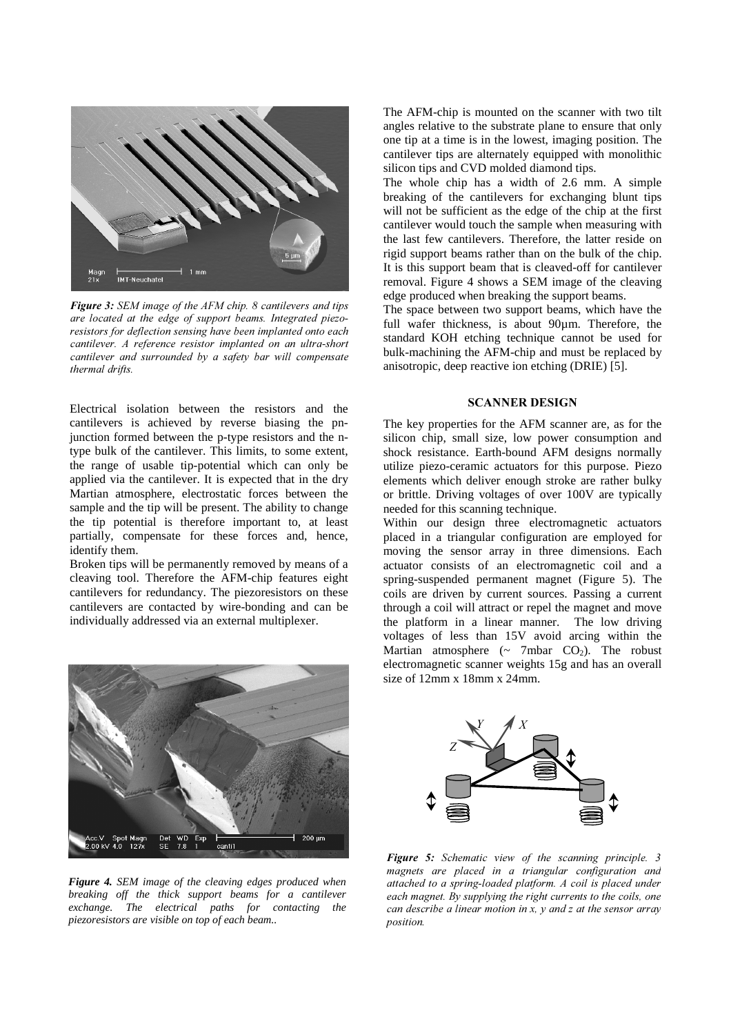

*Figure 3: SEM image of the AFM chip. 8 cantilevers and tips are located at the edge of support beams. Integrated piezo-<u>Z resistors for deflection sensing have been implanted onto each*</u> *F Cantilever. A reference resistor implanted on an ultra-short F Cantilever and surrounded by a safety bar will compensate thermal drifts.* 

Electrical isolation between the resistors and the cantilevers is achieved by reverse biasing the pnjunction formed between the p-type resistors and the ntype bulk of the cantilever. This limits, to some extent, the range of usable tip-potential which can only be applied via the cantilever. It is expected that in the dry Martian atmosphere, electrostatic forces between the sample and the tip will be present. The ability to change the tip potential is therefore important to, at least partially, compensate for these forces and, hence, identify them.

Broken tips will be permanently removed by means of a cleaving tool. Therefore the AFM-chip features eight cantilevers for redundancy. The piezoresistors on these cantilevers are contacted by wire-bonding and can be individually addressed via an external multiplexer.



*Figure 4. SEM image of the cleaving edges produced when breaking off the thick support beams for a cantilever exchange. The electrical paths for contacting the piezoresistors are visible on top of each beam..*

The AFM-chip is mounted on the scanner with two tilt angles relative to the substrate plane to ensure that only one tip at a time is in the lowest, imaging position. The cantilever tips are alternately equipped with monolithic silicon tips and CVD molded diamond tips.

The whole chip has a width of 2.6 mm. A simple breaking of the cantilevers for exchanging blunt tips will not be sufficient as the edge of the chip at the first cantilever would touch the sample when measuring with the last few cantilevers. Therefore, the latter reside on rigid support beams rather than on the bulk of the chip. It is this support beam that is cleaved-off for cantilever removal. Figure 4 shows a SEM image of the cleaving edge produced when breaking the support beams.

The space between two support beams, which have the full wafer thickness, is about 90µm. Therefore, the standard KOH etching technique cannot be used for bulk-machining the AFM-chip and must be replaced by anisotropic, deep reactive ion etching (DRIE) [5].

# **SCANNER DESIGN**

The key properties for the AFM scanner are, as for the silicon chip, small size, low power consumption and shock resistance. Earth-bound AFM designs normally utilize piezo-ceramic actuators for this purpose. Piezo elements which deliver enough stroke are rather bulky or brittle. Driving voltages of over 100V are typically needed for this scanning technique.

Within our design three electromagnetic actuators placed in a triangular configuration are employed for moving the sensor array in three dimensions. Each actuator consists of an electromagnetic coil and a spring-suspended permanent magnet (Figure 5). The coils are driven by current sources. Passing a current through a coil will attract or repel the magnet and move the platform in a linear manner. The low driving voltages of less than 15V avoid arcing within the Martian atmosphere  $({\sim}$  7mbar CO<sub>2</sub>). The robust electromagnetic scanner weights 15g and has an overall size of 12mm x 18mm x 24mm.



*Figure 5: Schematic view of the scanning principle. 3 P Dignets are placed in a triangular configuration and attached to a spring-loaded platform. A coil is placed under each magnet. By supplying the right currents to the coils, one F Can describe a linear motion in x, y and z at the sensor array position.*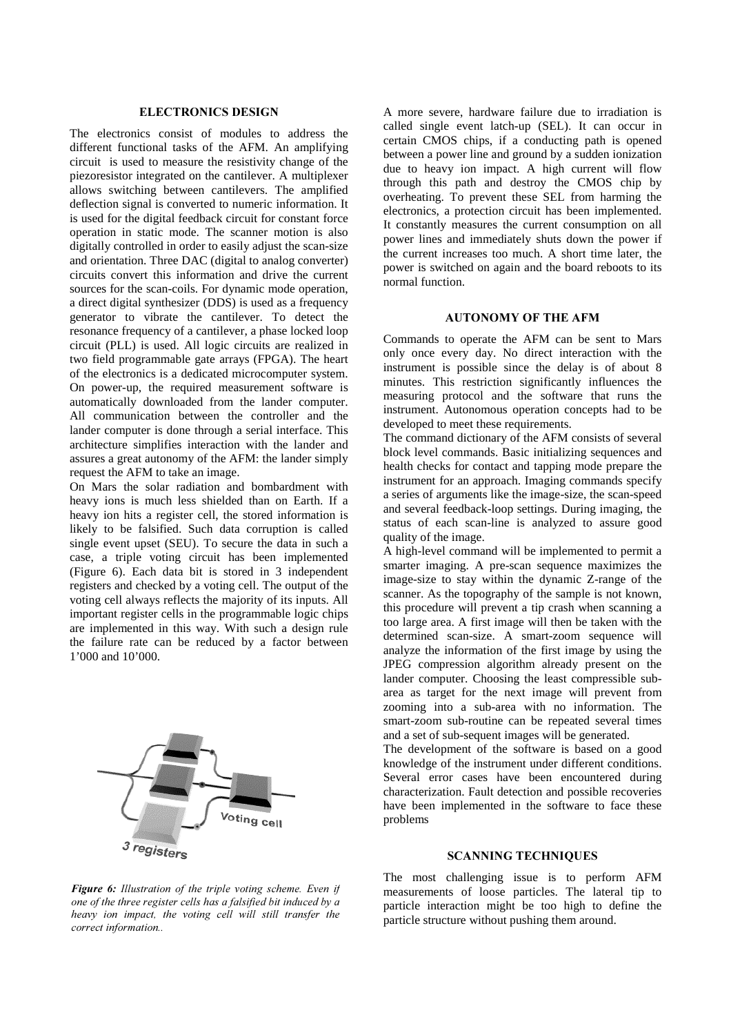#### ELECTRONICS DESIGN

The electronics consist of modules to address the different functional tasks of the AFM. An amplifying circuit is used to measure the resistivity change of the piezoresistor integrated on the cantilever. A multiplexer allows switching between cantilevers. The amplified deflection signal is converted to numeric information. It is used for the digital feedback circuit for constant force operation in static mode. The scanner motion is also digitally controlled in order to easily adjust the scan-size and orientation. Three DAC (digital to analog converter) circuits convert this information and drive the current sources for the scan-coils. For dynamic mode operation, a direct digital synthesizer (DDS) is used as a frequency generator to vibrate the cantilever. To detect the resonance frequency of a cantilever, a phase locked loop circuit (PLL) is used. All logic circuits are realized in two field programmable gate arrays (FPGA). The heart of the electronics is a dedicated microcomputer system. On power-up, the required measurement software is automatically downloaded from the lander computer. All communication between the controller and the lander computer is done through a serial interface. This architecture simplifies interaction with the lander and assures a great autonomy of the AFM: the lander simply request the AFM to take an image.

On Mars the solar radiation and bombardment with heavy ions is much less shielded than on Earth. If a heavy ion hits a register cell, the stored information is likely to be falsified. Such data corruption is called single event upset (SEU). To secure the data in such a case, a triple voting circuit has been implemented (Figure 6). Each data bit is stored in 3 independent registers and checked by a voting cell. The output of the voting cell always reflects the majority of its inputs. All important register cells in the programmable logic chips are implemented in this way. With such a design rule the failure rate can be reduced by a factor between 1'000 and 10'000.



*Figure 6: Illustration of the triple voting scheme. Even if Riandon Rial <i>Die three register cells has a falsified bit induced by a heavy ion impact*, *the voting cell will still transfer the correct information..* 

A more severe, hardware failure due to irradiation is called single event latch-up (SEL). It can occur in certain CMOS chips, if a conducting path is opened between a power line and ground by a sudden ionization due to heavy ion impact. A high current will flow through this path and destroy the CMOS chip by overheating. To prevent these SEL from harming the electronics, a protection circuit has been implemented. It constantly measures the current consumption on all power lines and immediately shuts down the power if the current increases too much. A short time later, the power is switched on again and the board reboots to its normal function.

## **AUTONOMY OF THE AFM**

Commands to operate the AFM can be sent to Mars only once every day. No direct interaction with the instrument is possible since the delay is of about 8 minutes. This restriction significantly influences the measuring protocol and the software that runs the instrument. Autonomous operation concepts had to be developed to meet these requirements.

The command dictionary of the AFM consists of several block level commands. Basic initializing sequences and health checks for contact and tapping mode prepare the instrument for an approach. Imaging commands specify a series of arguments like the image-size, the scan-speed and several feedback-loop settings. During imaging, the status of each scan-line is analyzed to assure good quality of the image.

A high-level command will be implemented to permit a smarter imaging. A pre-scan sequence maximizes the image-size to stay within the dynamic Z-range of the scanner. As the topography of the sample is not known, this procedure will prevent a tip crash when scanning a too large area. A first image will then be taken with the determined scan-size. A smart-zoom sequence will analyze the information of the first image by using the JPEG compression algorithm already present on the lander computer. Choosing the least compressible subarea as target for the next image will prevent from zooming into a sub-area with no information. The smart-zoom sub-routine can be repeated several times and a set of sub-sequent images will be generated.

The development of the software is based on a good knowledge of the instrument under different conditions. Several error cases have been encountered during characterization. Fault detection and possible recoveries have been implemented in the software to face these problems

# **SCANNING TECHNIQUES**

The most challenging issue is to perform AFM measurements of loose particles. The lateral tip to particle interaction might be too high to define the particle structure without pushing them around.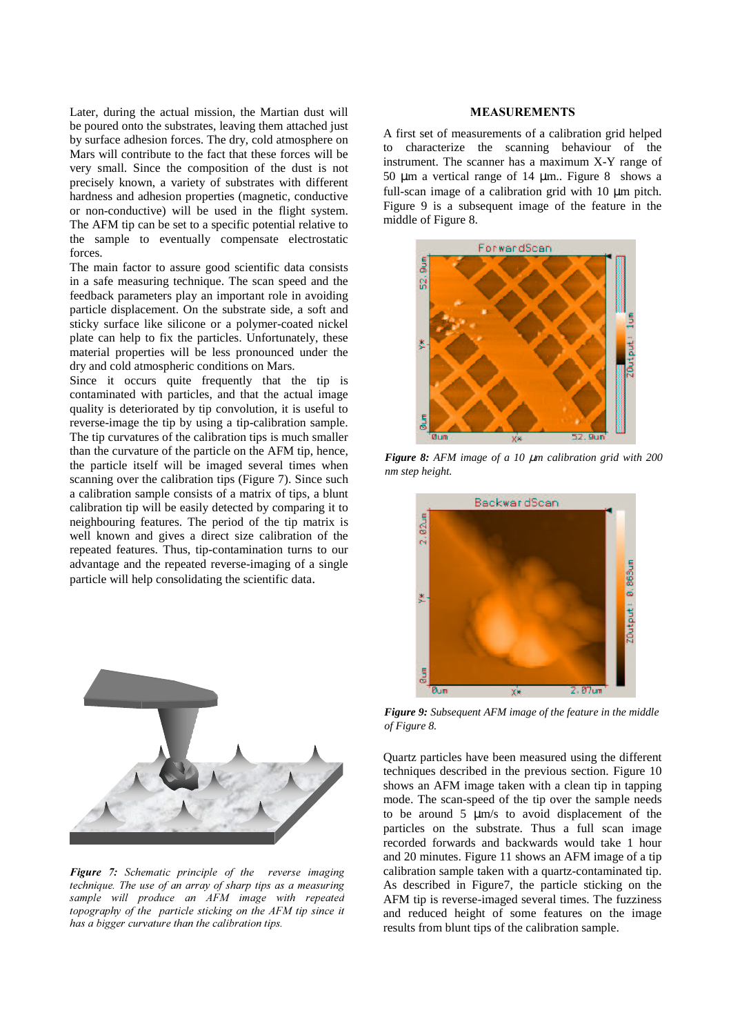Later, during the actual mission, the Martian dust will be poured onto the substrates, leaving them attached just by surface adhesion forces. The dry, cold atmosphere on Mars will contribute to the fact that these forces will be very small. Since the composition of the dust is not precisely known, a variety of substrates with different hardness and adhesion properties (magnetic, conductive or non-conductive) will be used in the flight system. The AFM tip can be set to a specific potential relative to the sample to eventually compensate electrostatic forces.

The main factor to assure good scientific data consists in a safe measuring technique. The scan speed and the feedback parameters play an important role in avoiding particle displacement. On the substrate side, a soft and sticky surface like silicone or a polymer-coated nickel plate can help to fix the particles. Unfortunately, these material properties will be less pronounced under the dry and cold atmospheric conditions on Mars.

Since it occurs quite frequently that the tip is contaminated with particles, and that the actual image quality is deteriorated by tip convolution, it is useful to reverse-image the tip by using a tip-calibration sample. The tip curvatures of the calibration tips is much smaller than the curvature of the particle on the AFM tip, hence, the particle itself will be imaged several times when scanning over the calibration tips (Figure 7). Since such a calibration sample consists of a matrix of tips, a blunt calibration tip will be easily detected by comparing it to neighbouring features. The period of the tip matrix is well known and gives a direct size calibration of the repeated features. Thus, tip-contamination turns to our advantage and the repeated reverse-imaging of a single particle will help consolidating the scientific data.



*Figure* 7: Schematic principle of the reverse imaging *WHFKQLTXH 7KH XVH RI DQ DUUD\ RI VKDUS WLSV DV D PHDVXULQJ sample will produce an AFM image with repeated Kopography of the particle sticking on the AFM tip since it has a bigger curvature than the calibration tips.* 

#### **MEASUREMENTS**

A first set of measurements of a calibration grid helped to characterize the scanning behaviour of the instrument. The scanner has a maximum X-Y range of 50  $\mu$ m a vertical range of 14  $\mu$ m.. Figure 8 shows a full-scan image of a calibration grid with 10 µm pitch. Figure 9 is a subsequent image of the feature in the middle of Figure 8.



*Figure 8: AFM image of a 10* µ*m calibration grid with 200 nm step height.*



*Figure 9: Subsequent AFM image of the feature in the middle of Figure 8.*

Quartz particles have been measured using the different techniques described in the previous section. Figure 10 shows an AFM image taken with a clean tip in tapping mode. The scan-speed of the tip over the sample needs to be around 5 µm/s to avoid displacement of the particles on the substrate. Thus a full scan image recorded forwards and backwards would take 1 hour and 20 minutes. Figure 11 shows an AFM image of a tip calibration sample taken with a quartz-contaminated tip. As described in Figure7, the particle sticking on the AFM tip is reverse-imaged several times. The fuzziness and reduced height of some features on the image results from blunt tips of the calibration sample.